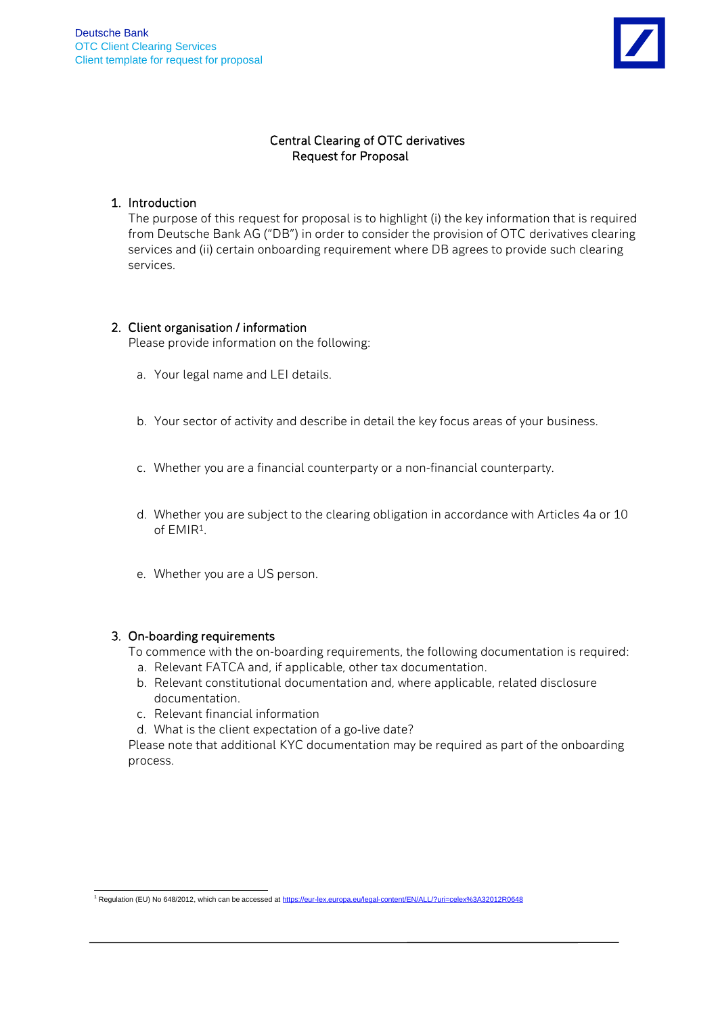

# Central Clearing of OTC derivatives Request for Proposal

# 1. Introduction

The purpose of this request for proposal is to highlight (i) the key information that is required from Deutsche Bank AG ("DB") in order to consider the provision of OTC derivatives clearing services and (ii) certain onboarding requirement where DB agrees to provide such clearing services.

# 2. Client organisation / information

Please provide information on the following:

- a. Your legal name and LEI details.
- b. Your sector of activity and describe in detail the key focus areas of your business.
- c. Whether you are a financial counterparty or a non-financial counterparty.
- d. Whether you are subject to the clearing obligation in accordance with Articles 4a or 10 of EMIR<sup>1</sup> .
- e. Whether you are a US person.

### 3. On-boarding requirements

- To commence with the on-boarding requirements, the following documentation is required:
	- a. Relevant FATCA and, if applicable, other tax documentation.
	- b. Relevant constitutional documentation and, where applicable, related disclosure documentation.
	- c. Relevant financial information
	- d. What is the client expectation of a go-live date?

Please note that additional KYC documentation may be required as part of the onboarding process.

<sup>1</sup> Regulation (EU) No 648/2012, which can be accessed a[t https://eur-lex.europa.eu/legal-content/EN/ALL/?uri=celex%3A32012R0648](https://eur-lex.europa.eu/legal-content/EN/ALL/?uri=celex%3A32012R0648)